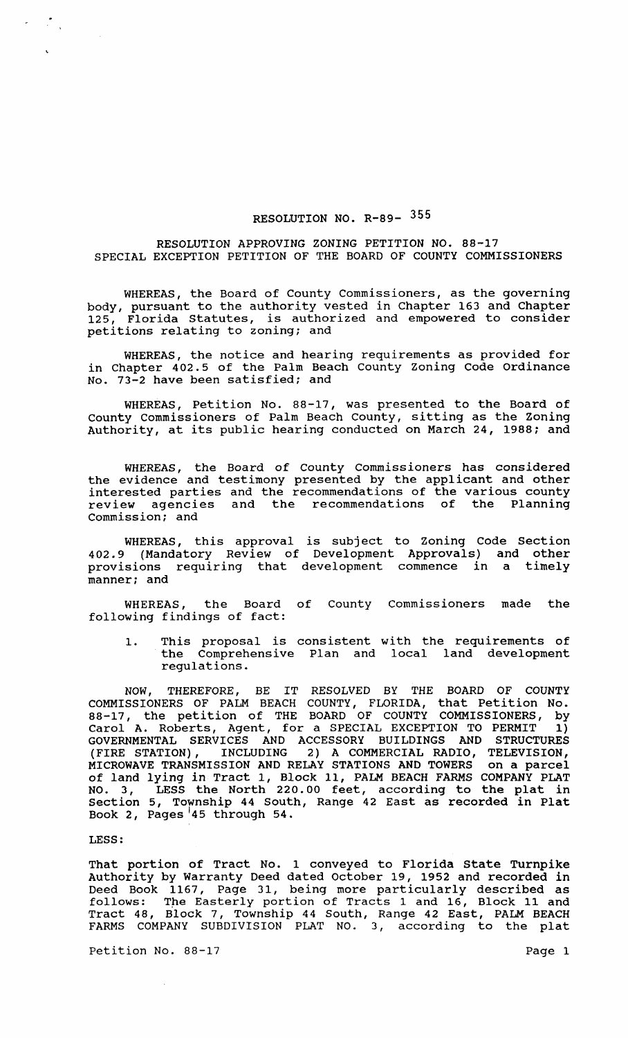## RESOLUTION NO. R-89- 355

## RESOLUTION APPROVING ZONING PETITION NO. 88-17 SPECIAL EXCEPTION PETITION OF THE BOARD OF COUNTY COMMISSIONERS

WHEREAS, the Board of County Commissioners, as the governing body, pursuant to the authority vested in Chapter 163 and Chapter Florida Statutes, is authorized and empowered to consider petitions relating to zoning; and

WHEREAS, the notice and hearing requirements as provided for in Chapter 402.5 of the Palm Beach County Zoning Code Ordinance No. 73-2 have been satisfied; and

WHEREAS, Petition No. 88-17, was presented to the Board of County Commissioners of Palm Beach County, sitting as the Zoning Authority, at its public hearing conducted on March 24, 1988; and

WHEREAS, the Board of County Commissioners has considered the evidence and testimony presented by the applicant and other interested parties and the recommendations of the various county review agencies and the recommendations of the Planning Commission; and

WHEREAS, this approval is subject to Zoning Code Section 402.9 (Mandatory Review of Development Approvals) and other provisions requiring that development commence in a timely manner; and

WHEREAS, the Board of County Commissioners made the following findings of fact:

1. This proposal is consistent with the requirements of<br>the Comprehensive Plan and local land development the Comprehensive Plan and local regulations.

NOW, THEREFORE, BE IT RESOLVED BY THE BOARD OF COUNTY COMMISSIONERS OF PALM BEACH COUNTY, FLORIDA, that Petition No. 88-17, the petition of THE BOARD OF COUNTY COMMISSIONERS, by Carol A. Roberts, Agent, for a SPECIAL EXCEPTION TO PERMIT 1) GOVERNMENTAL SERVICES AND ACCESSORY BUILDINGS AND STRUCTURES (FIRE STATION), INCLUDING 2) A COMMERCIAL RADIO, TELEVISION, MICROWAVE TRANSMISSION AND RELAY STATIONS AND TOWERS on a parcel of land lying in Tract 1, Block 11, PALM BEACH FARMS COMPANY PLAT NO.3, LESS the North 220.00 feet, according to the plat in section 5, Township 44 South, Range 42 East as recorded in Plat Book 2, Pages 145 through 54.

LESS:

 $\label{eq:2} \frac{1}{2} \int_{-\infty}^{\infty} \frac{dx}{2} \, dx$ 

 $\mathcal{L}_{\mathrm{c}}$ 

That portion of Tract No. 1 conveyed to Florida State Turnpike Authority by Warranty Deed dated October 19, 1952 and recorded in Deed Book 1167, Page 31, being more particularly described as follows: Tpe Easterly portion of Tracts 1 and 16, Block 11 and Tract 48, Block 7, Township 44 South, Range 42 East, PALM BEACH FARMS COMPANY SUBDIVISION PLAT NO.3, according to the plat

Petition No. 88-17 Page 1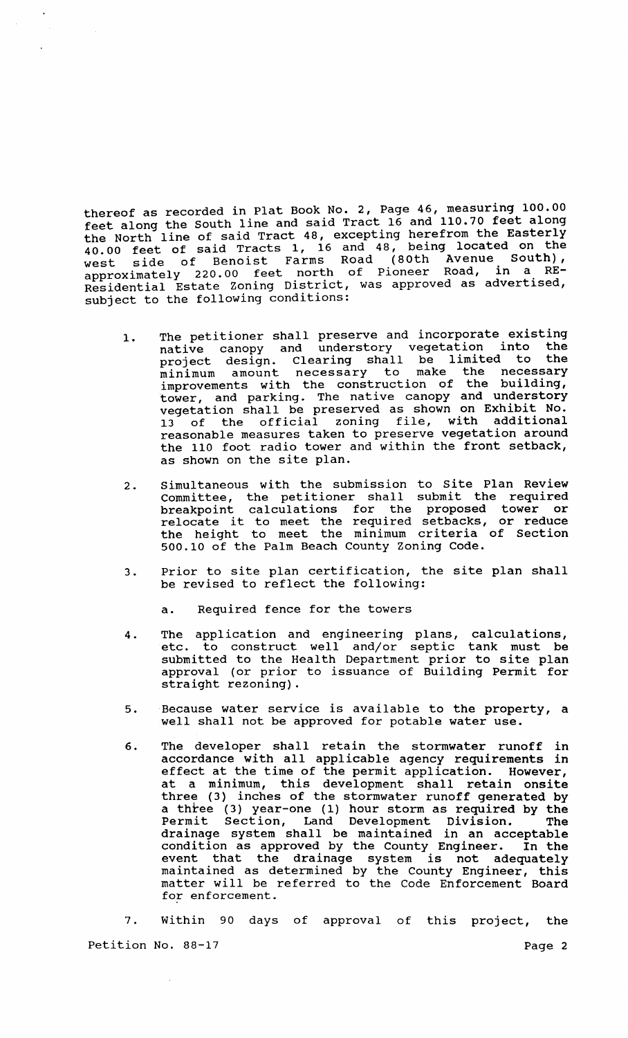thereof as recorded in Plat Book No.2, Page 46, measuring 100.00 feet along the South line and said Tract 16 and 110.70 feet along the North line of said Tract 48, excepting herefrom the Easterly 40.00 feet of said Tracts 1, 16 and 48, being located on the west side of Benoist Farms Road (80th Avenue South), west side of pioneer Road, in a RE-<br>approximately 220.00 feet north of Pioneer Road, in a RE-Residential Estate Zoning Dlstrlct, was approved as advertlsed, subject to the following conditions:

- 1. The petitioner shall preserve and incorporate existing native canopy and understory vegetation into the project design. Clearing shall be limited to the project design: exemployed make the necessary improvements with the construction of the building, tower, and parking. The native canopy and understory vegetation shall be preserved as shown on Exhibit No. 13 of the official zoning file, with additional reasonable measures taken to preserve vegetation around the 110 foot radio tower and within the front setback, as shown on the site plan.
- 2. Simultaneous with the submission to site Plan Review Committee, the petitioner shall submit the required breakpoint calculations for the proposed tower or relocate it to meet the required setbacks, or reduce the height to meet the minimum criteria of Section 500.10 of the Palm Beach County Zoning Code.
- 3. Prior to site plan certification, the site plan shall be revised to reflect the following:

a. Required fence for the towers

- 4. The application and engineering plans, calculations, etc. to construct well and/or septic tank must be submitted to the Health Department prior to site plan approval (or prior to issuance of Building Permit for straight rezoning).
- 5. Because water service is available to the property, a well shall not be approved for potable water use.
- 6. The developer shall retain the stormwater runoff in accordance with all applicable agency requirements in accordance with all applicatio agons, logalization. However, at a minimum, this development shall retain onsite three (3) inches of the stormwater runoff generated by a three (3) year-one (1) hour storm as required by the Permit Section, Land Development Division. The Permit Section, Land Development Division. The<br>drainage system shall be maintained in an acceptable condition as approved by the County Engineer. In the event that the drainage system is not adequately maintained as determined by the County Engineer, this matter will be referred to the Code Enforcement Board for enforcement.

7. within 90 days of approval of this project, the Petition No. 88-17 Page 2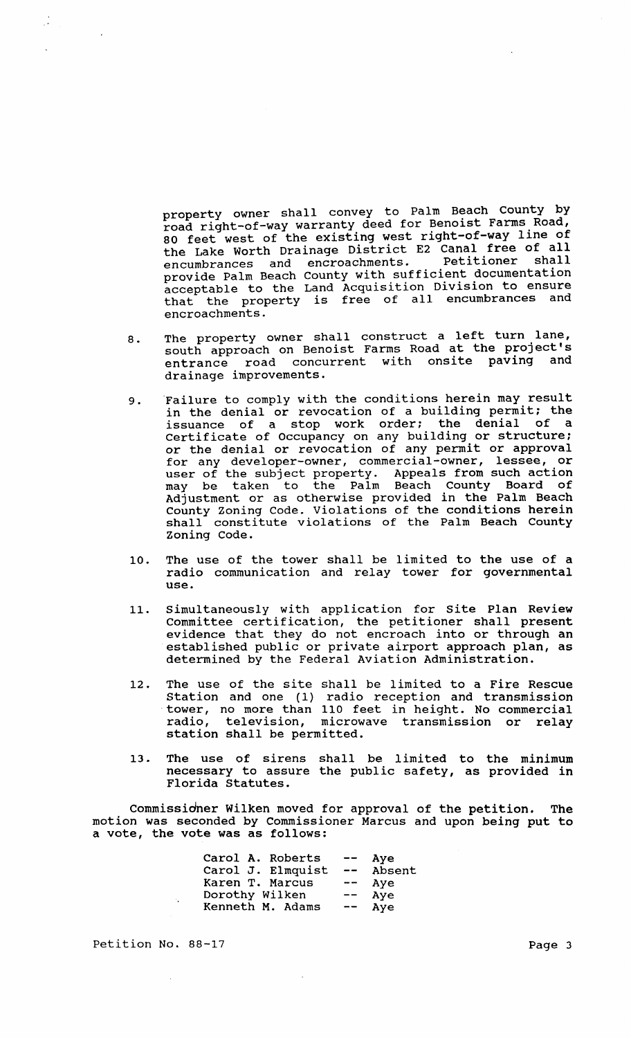property owner shall convey to Palm Beach County by road right-of-way warranty deed for Benoist Farms Road, 80 feet west of the existing west right-of-way line of the Lake Worth Drainage District E2 Canal free of all encumbrances and encroachments. Petitioner shall encumbrances and encroachments. Petitioner shall<br>provide Palm Beach County with sufficient documentation acceptable to the Land Acquisition Division to ensure that the property is free of all encumbrances and encroachments.

- 8. The property owner shall construct a left turn lane, south approach on Benoist Farms Road at the project's entrance road concurrent with onsite paving drainage improvements.
- 9. Failure to comply with the conditions herein may result in the denial or revocation of a building permit; the issuance of a stop work order: the denial of a certificate of Occupancy on any building or structure; or the denial or revocation of any permit or approval for any developer-owner, commercial-owner, lessee, or user of the subject property. Appeals from such action may be taken to the Palm Beach County Board of Adjustment or as otherwise provided in the Palm Beach County zoning Code. Violations of the conditions herein shall constitute violations of the Palm Beach County shall constitute violations of the Palm Beach County<br>Zoning Code.
- 10. The use of the tower shall be limited to the use of a radio communication and relay tower for governmental use.
- 11. Simultaneously with application for Site Plan Review Committee certification, the petitioner shall present evidence that they do not encroach into or through an established public or private airport approach plan, as determined by the Federal Aviation Administration.
- 12. The use of the site shall be limited to a Fire Rescue station and one (1) radio reception and transmission tower, no more than 110 feet in height. No commercial radio, television, microwave transmission or relay station shall be permitted.
- 13. The use of sirens shall be limited to the minimum necessary to assure the public safety, as provided in Florida statutes.

Commissidner Wilken moved for approval of the petition. The motion was seconded by Commissioner Marcus and upon being put to a vote, the vote was as follows:

| Carol A. Roberts  | $-\,-$                   | Aye    |
|-------------------|--------------------------|--------|
| Carol J. Elmquist | $\overline{\phantom{m}}$ | Absent |
| Karen T. Marcus   | $\overline{\phantom{m}}$ | Aye    |
| Dorothy Wilken    | $--$                     | Aye    |
| Kenneth M. Adams  |                          | Aye    |

Petition No. 88-17